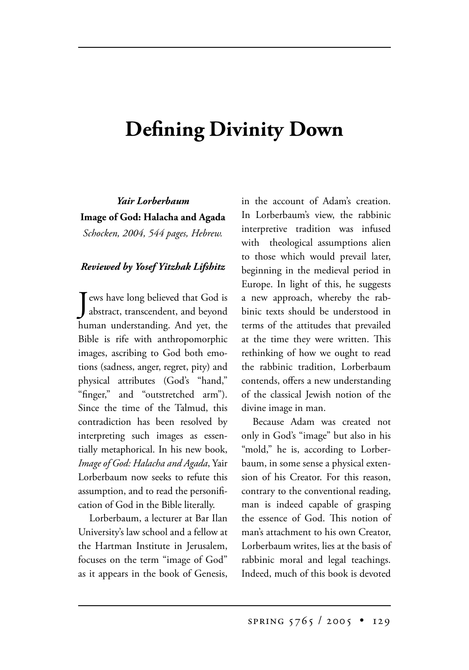## **Defining Divinity Down**

*Yair Lorberbaum* **Image of God: Halacha and Agada**

*Schocken, 2004, 544 pages, Hebrew.*

## *Reviewed by Yosef Yitzhak Lifshitz*

Jews have long believed that God is<br>abstract, transcendent, and beyond ews have long believed that God is human understanding. And yet, the Bible is rife with anthropomorphic images, ascribing to God both emotions (sadness, anger, regret, pity) and physical attributes (God's "hand," "finger," and "outstretched arm"). Since the time of the Talmud, this contradiction has been resolved by interpreting such images as essentially metaphorical. In his new book, *Image of God: Halacha and Agada*, Yair Lorberbaum now seeks to refute this assumption, and to read the personification of God in the Bible literally.

Lorberbaum, a lecturer at Bar Ilan University's law school and a fellow at the Hartman Institute in Jerusalem, focuses on the term "image of God" as it appears in the book of Genesis, in the account of Adam's creation. In Lorberbaum's view, the rabbinic interpretive tradition was infused with theological assumptions alien to those which would prevail later, beginning in the medieval period in Europe. In light of this, he suggests a new approach, whereby the rabbinic texts should be understood in terms of the attitudes that prevailed at the time they were written. This rethinking of how we ought to read the rabbinic tradition, Lorberbaum contends, offers a new understanding of the classical Jewish notion of the divine image in man.

Because Adam was created not only in God's "image" but also in his "mold," he is, according to Lorberbaum, in some sense a physical extension of his Creator. For this reason, contrary to the conventional reading, man is indeed capable of grasping the essence of God. This notion of man's attachment to his own Creator, Lorberbaum writes, lies at the basis of rabbinic moral and legal teachings. Indeed, much of this book is devoted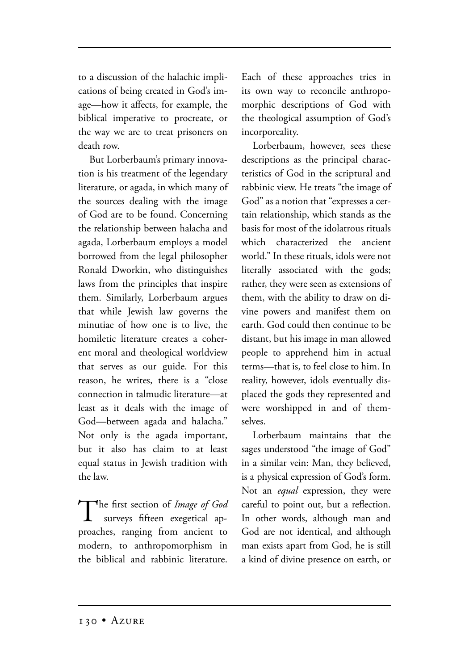to a discussion of the halachic implications of being created in God's image—how it affects, for example, the biblical imperative to procreate, or the way we are to treat prisoners on death row.

But Lorberbaum's primary innovation is his treatment of the legendary literature, or agada, in which many of the sources dealing with the image of God are to be found. Concerning the relationship between halacha and agada, Lorberbaum employs a model borrowed from the legal philosopher Ronald Dworkin, who distinguishes laws from the principles that inspire them. Similarly, Lorberbaum argues that while Jewish law governs the minutiae of how one is to live, the homiletic literature creates a coherent moral and theological worldview that serves as our guide. For this reason, he writes, there is a "close connection in talmudic literature—at least as it deals with the image of God—between agada and halacha." Not only is the agada important, but it also has claim to at least equal status in Jewish tradition with the law.

The first section of *Image of God* surveys fifteen exegetical approaches, ranging from ancient to modern, to anthropomorphism in the biblical and rabbinic literature.

Each of these approaches tries in its own way to reconcile anthropomorphic descriptions of God with the theological assumption of God's incorporeality.

Lorberbaum, however, sees these descriptions as the principal characteristics of God in the scriptural and rabbinic view. He treats "the image of God" as a notion that "expresses a certain relationship, which stands as the basis for most of the idolatrous rituals which characterized the ancient world." In these rituals, idols were not literally associated with the gods; rather, they were seen as extensions of them, with the ability to draw on divine powers and manifest them on earth. God could then continue to be distant, but his image in man allowed people to apprehend him in actual terms—that is, to feel close to him. In reality, however, idols eventually displaced the gods they represented and were worshipped in and of themselves.

Lorberbaum maintains that the sages understood "the image of God" in a similar vein: Man, they believed, is a physical expression of God's form. Not an *equal* expression, they were careful to point out, but a reflection. In other words, although man and God are not identical, and although man exists apart from God, he is still a kind of divine presence on earth, or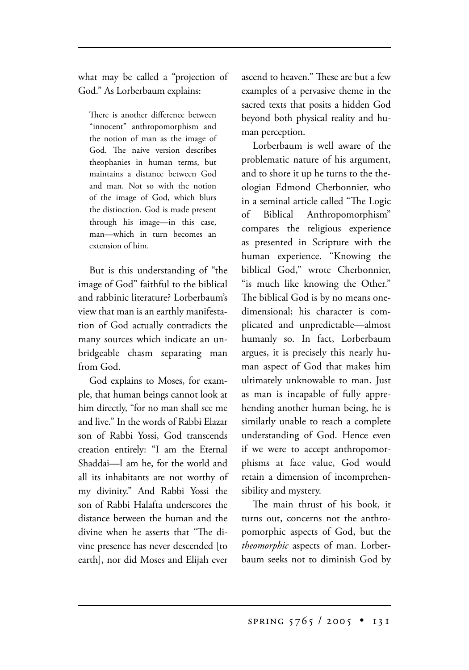what may be called a "projection of God." As Lorberbaum explains:

There is another difference between "innocent" anthropomorphism and the notion of man as the image of God. The naive version describes theophanies in human terms, but maintains a distance between God and man. Not so with the notion of the image of God, which blurs the distinction. God is made present through his image—in this case, man—which in turn becomes an extension of him.

But is this understanding of "the image of God" faithful to the biblical and rabbinic literature? Lorberbaum's view that man is an earthly manifestation of God actually contradicts the many sources which indicate an unbridgeable chasm separating man from God.

God explains to Moses, for example, that human beings cannot look at him directly, "for no man shall see me and live." In the words of Rabbi Elazar son of Rabbi Yossi, God transcends creation entirely: "I am the Eternal Shaddai—I am he, for the world and all its inhabitants are not worthy of my divinity." And Rabbi Yossi the son of Rabbi Halafta underscores the distance between the human and the divine when he asserts that "The divine presence has never descended [to earth], nor did Moses and Elijah ever ascend to heaven." These are but a few examples of a pervasive theme in the sacred texts that posits a hidden God beyond both physical reality and human perception.

Lorberbaum is well aware of the problematic nature of his argument, and to shore it up he turns to the theologian Edmond Cherbonnier, who in a seminal article called "The Logic of Biblical Anthropomorphism" compares the religious experience as presented in Scripture with the human experience. "Knowing the biblical God," wrote Cherbonnier, "is much like knowing the Other." The biblical God is by no means onedimensional; his character is complicated and unpredictable—almost humanly so. In fact, Lorberbaum argues, it is precisely this nearly human aspect of God that makes him ultimately unknowable to man. Just as man is incapable of fully apprehending another human being, he is similarly unable to reach a complete understanding of God. Hence even if we were to accept anthropomorphisms at face value, God would retain a dimension of incomprehensibility and mystery.

The main thrust of his book, it turns out, concerns not the anthropomorphic aspects of God, but the *theomorphic* aspects of man. Lorberbaum seeks not to diminish God by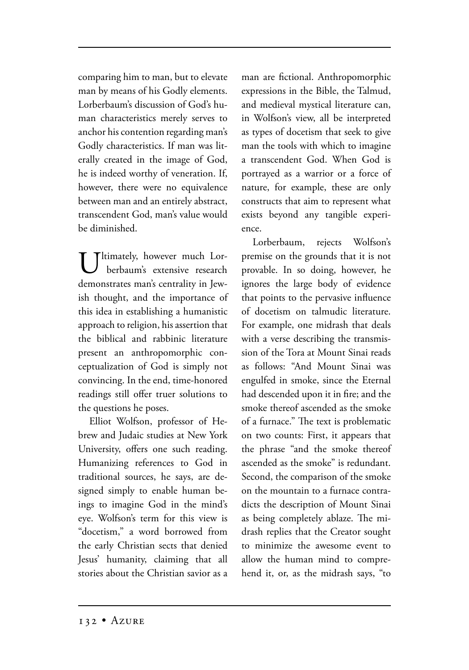comparing him to man, but to elevate man by means of his Godly elements. Lorberbaum's discussion of God's human characteristics merely serves to anchor his contention regarding man's Godly characteristics. If man was literally created in the image of God, he is indeed worthy of veneration. If, however, there were no equivalence between man and an entirely abstract, transcendent God, man's value would be diminished.

Tltimately, however much Lor berbaum's extensive research demonstrates man's centrality in Jewish thought, and the importance of this idea in establishing a humanistic approach to religion, his assertion that the biblical and rabbinic literature present an anthropomorphic conceptualization of God is simply not convincing. In the end, time-honored readings still offer truer solutions to the questions he poses.

Elliot Wolfson, professor of Hebrew and Judaic studies at New York University, offers one such reading. Humanizing references to God in traditional sources, he says, are designed simply to enable human beings to imagine God in the mind's eye. Wolfson's term for this view is "docetism," a word borrowed from the early Christian sects that denied Jesus' humanity, claiming that all stories about the Christian savior as a man are fictional. Anthropomorphic expressions in the Bible, the Talmud, and medieval mystical literature can, in Wolfson's view, all be interpreted as types of docetism that seek to give man the tools with which to imagine a transcendent God. When God is portrayed as a warrior or a force of nature, for example, these are only constructs that aim to represent what exists beyond any tangible experience.

Lorberbaum, rejects Wolfson's premise on the grounds that it is not provable. In so doing, however, he ignores the large body of evidence that points to the pervasive influence of docetism on talmudic literature. For example, one midrash that deals with a verse describing the transmission of the Tora at Mount Sinai reads as follows: "And Mount Sinai was engulfed in smoke, since the Eternal had descended upon it in fire; and the smoke thereof ascended as the smoke of a furnace." The text is problematic on two counts: First, it appears that the phrase "and the smoke thereof ascended as the smoke" is redundant. Second, the comparison of the smoke on the mountain to a furnace contradicts the description of Mount Sinai as being completely ablaze. The midrash replies that the Creator sought to minimize the awesome event to allow the human mind to comprehend it, or, as the midrash says, "to